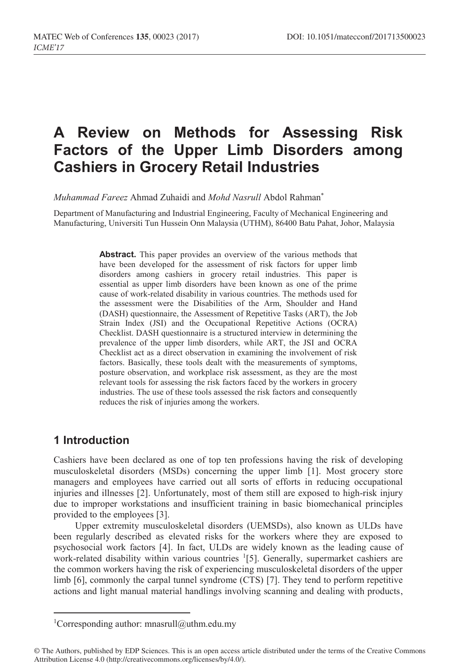# **A Review on Methods for Assessing Risk Factors of the Upper Limb Disorders among Cashiers in Grocery Retail Industries**

*Muhammad Fareez* Ahmad Zuhaidi and *Mohd Nasrull* Abdol Rahman\*

Department of Manufacturing and Industrial Engineering, Faculty of Mechanical Engineering and Manufacturing, Universiti Tun Hussein Onn Malaysia (UTHM), 86400 Batu Pahat, Johor, Malaysia

> **Abstract.** This paper provides an overview of the various methods that have been developed for the assessment of risk factors for upper limb disorders among cashiers in grocery retail industries. This paper is essential as upper limb disorders have been known as one of the prime cause of work-related disability in various countries. The methods used for the assessment were the Disabilities of the Arm, Shoulder and Hand (DASH) questionnaire, the Assessment of Repetitive Tasks (ART), the Job Strain Index (JSI) and the Occupational Repetitive Actions (OCRA) Checklist. DASH questionnaire is a structured interview in determining the prevalence of the upper limb disorders, while ART, the JSI and OCRA Checklist act as a direct observation in examining the involvement of risk factors. Basically, these tools dealt with the measurements of symptoms, posture observation, and workplace risk assessment, as they are the most relevant tools for assessing the risk factors faced by the workers in grocery industries. The use of these tools assessed the risk factors and consequently reduces the risk of injuries among the workers.

## **1 Introduction**

Cashiers have been declared as one of top ten professions having the risk of developing musculoskeletal disorders (MSDs) concerning the upper limb [1]. Most grocery store managers and employees have carried out all sorts of efforts in reducing occupational injuries and illnesses [2]. Unfortunately, most of them still are exposed to high-risk injury due to improper workstations and insufficient training in basic biomechanical principles provided to the employees [3].

Upper extremity musculoskeletal disorders (UEMSDs), also known as ULDs have been regularly described as elevated risks for the workers where they are exposed to psychosocial work factors [4]. In fact, ULDs are widely known as the leading cause of work-related disability within various countries <sup>1</sup>[5]. Generally, supermarket cashiers are the common workers having the risk of experiencing musculoskeletal disorders of the upper limb [6], commonly the carpal tunnel syndrome (CTS) [7]. They tend to perform repetitive actions and light manual material handlings involving scanning and dealing with products,

 $\frac{1}{1}$ <sup>1</sup>Corresponding author: mnasrull@uthm.edu.my

<sup>©</sup> The Authors, published by EDP Sciences. This is an open access article distributed under the terms of the Creative Commons Attribution License 4.0 (http://creativecommons.org/licenses/by/4.0/).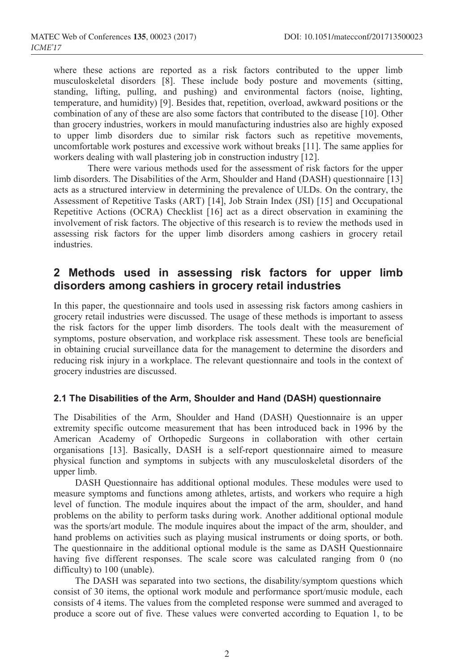where these actions are reported as a risk factors contributed to the upper limb musculoskeletal disorders [8]. These include body posture and movements (sitting, standing, lifting, pulling, and pushing) and environmental factors (noise, lighting, temperature, and humidity) [9]. Besides that, repetition, overload, awkward positions or the combination of any of these are also some factors that contributed to the disease [10]. Other than grocery industries, workers in mould manufacturing industries also are highly exposed to upper limb disorders due to similar risk factors such as repetitive movements, uncomfortable work postures and excessive work without breaks [11]. The same applies for workers dealing with wall plastering job in construction industry [12].

There were various methods used for the assessment of risk factors for the upper limb disorders. The Disabilities of the Arm, Shoulder and Hand (DASH) questionnaire [13] acts as a structured interview in determining the prevalence of ULDs. On the contrary, the Assessment of Repetitive Tasks (ART) [14], Job Strain Index (JSI) [15] and Occupational Repetitive Actions (OCRA) Checklist [16] act as a direct observation in examining the involvement of risk factors. The objective of this research is to review the methods used in assessing risk factors for the upper limb disorders among cashiers in grocery retail industries.

## **2 Methods used in assessing risk factors for upper limb disorders among cashiers in grocery retail industries**

In this paper, the questionnaire and tools used in assessing risk factors among cashiers in grocery retail industries were discussed. The usage of these methods is important to assess the risk factors for the upper limb disorders. The tools dealt with the measurement of symptoms, posture observation, and workplace risk assessment. These tools are beneficial in obtaining crucial surveillance data for the management to determine the disorders and reducing risk injury in a workplace. The relevant questionnaire and tools in the context of grocery industries are discussed.

#### **2.1 The Disabilities of the Arm, Shoulder and Hand (DASH) questionnaire**

The Disabilities of the Arm, Shoulder and Hand (DASH) Questionnaire is an upper extremity specific outcome measurement that has been introduced back in 1996 by the American Academy of Orthopedic Surgeons in collaboration with other certain organisations [13]. Basically, DASH is a self-report questionnaire aimed to measure physical function and symptoms in subjects with any musculoskeletal disorders of the upper limb.

DASH Questionnaire has additional optional modules. These modules were used to measure symptoms and functions among athletes, artists, and workers who require a high level of function. The module inquires about the impact of the arm, shoulder, and hand problems on the ability to perform tasks during work. Another additional optional module was the sports/art module. The module inquires about the impact of the arm, shoulder, and hand problems on activities such as playing musical instruments or doing sports, or both. The questionnaire in the additional optional module is the same as DASH Questionnaire having five different responses. The scale score was calculated ranging from 0 (no difficulty) to 100 (unable).

The DASH was separated into two sections, the disability/symptom questions which consist of 30 items, the optional work module and performance sport/music module, each consists of 4 items. The values from the completed response were summed and averaged to produce a score out of five. These values were converted according to Equation 1, to be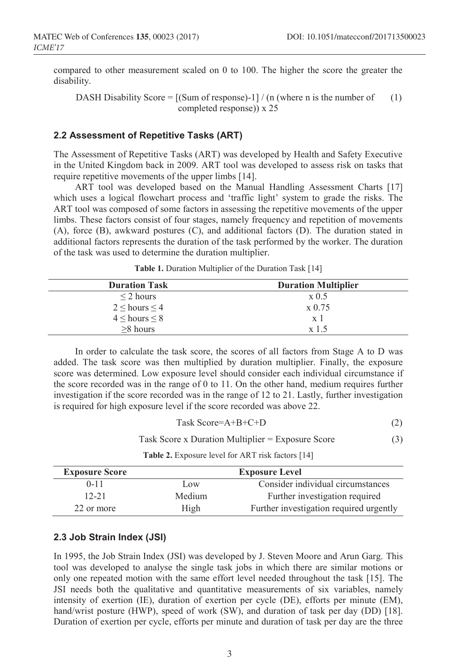compared to other measurement scaled on 0 to 100. The higher the score the greater the disability.

DASH Disability Score =  $[(Sum of response)-1]/(n (where n is the number of$  (1) completed response)) x 25

#### **2.2 Assessment of Repetitive Tasks (ART)**

The Assessment of Repetitive Tasks (ART) was developed by Health and Safety Executive in the United Kingdom back in 2009. ART tool was developed to assess risk on tasks that require repetitive movements of the upper limbs [14].

ART tool was developed based on the Manual Handling Assessment Charts [17] which uses a logical flowchart process and 'traffic light' system to grade the risks. The ART tool was composed of some factors in assessing the repetitive movements of the upper limbs. These factors consist of four stages, namely frequency and repetition of movements (A), force (B), awkward postures (C), and additional factors (D). The duration stated in additional factors represents the duration of the task performed by the worker. The duration of the task was used to determine the duration multiplier.

| <b>Duration Multiplier</b> |  |
|----------------------------|--|
| $\times 0.5$               |  |
| x 0.75                     |  |
| x <sub>1</sub>             |  |
| $x \mid 5$                 |  |
|                            |  |

**Table 1.** Duration Multiplier of the Duration Task [14]

In order to calculate the task score, the scores of all factors from Stage A to D was added. The task score was then multiplied by duration multiplier. Finally, the exposure score was determined. Low exposure level should consider each individual circumstance if the score recorded was in the range of 0 to 11. On the other hand, medium requires further investigation if the score recorded was in the range of 12 to 21. Lastly, further investigation is required for high exposure level if the score recorded was above 22.

$$
Task Score=A+B+C+D
$$
 (2)

Task Score x Duration Multiplier = Exposure Score (3)

**Table 2.** Exposure level for ART risk factors [14]

| <b>Exposure Score</b> | <b>Exposure Level</b> |                                         |  |
|-----------------------|-----------------------|-----------------------------------------|--|
| $0 - 11$              | Low                   | Consider individual circumstances       |  |
| $12 - 21$             | Medium                | Further investigation required          |  |
| 22 or more            | High                  | Further investigation required urgently |  |

#### **2.3 Job Strain Index (JSI)**

In 1995, the Job Strain Index (JSI) was developed by J. Steven Moore and Arun Garg. This tool was developed to analyse the single task jobs in which there are similar motions or only one repeated motion with the same effort level needed throughout the task [15]. The JSI needs both the qualitative and quantitative measurements of six variables, namely intensity of exertion (IE), duration of exertion per cycle (DE), efforts per minute (EM), hand/wrist posture (HWP), speed of work (SW), and duration of task per day (DD) [18]. Duration of exertion per cycle, efforts per minute and duration of task per day are the three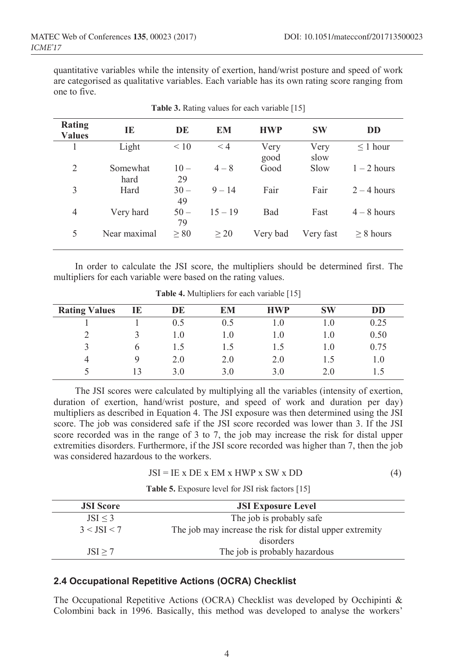quantitative variables while the intensity of exertion, hand/wrist posture and speed of work are categorised as qualitative variables. Each variable has its own rating score ranging from one to five.

| Rating<br><b>Values</b> | IE           | DE        | EM        | <b>HWP</b> | <b>SW</b> | <b>DD</b>      |
|-------------------------|--------------|-----------|-----------|------------|-----------|----------------|
|                         | Light        | $\leq 10$ | $\leq 4$  | Very       | Very      | $\leq$ 1 hour  |
|                         |              |           |           | good       | slow      |                |
| $\overline{2}$          | Somewhat     | $10 -$    | $4 - 8$   | Good       | Slow      | $1 - 2$ hours  |
|                         | hard         | 29        |           |            |           |                |
| 3                       | Hard         | $30 -$    | $9 - 14$  | Fair       | Fair      | $2 - 4$ hours  |
|                         |              | 49        |           |            |           |                |
| 4                       | Very hard    | $50 -$    | $15 - 19$ | Bad        | Fast      | $4 - 8$ hours  |
|                         |              | 79        |           |            |           |                |
| 5                       | Near maximal | $\geq 80$ | $\geq 20$ | Very bad   | Very fast | $\geq 8$ hours |
|                         |              |           |           |            |           |                |

**Table 3.** Rating values for each variable [15]

In order to calculate the JSI score, the multipliers should be determined first. The multipliers for each variable were based on the rating values.

| <b>Rating Values</b> | IE | DE  | EM        | <b>HWP</b> | <b>SW</b> | DD         |
|----------------------|----|-----|-----------|------------|-----------|------------|
|                      |    | 0.5 | 0.5       | 0.1        |           | 0.25       |
|                      |    | 1.0 | $\cdot$ 0 | 1.0        | 1.0       | 0.50       |
|                      | h  |     |           | 1.5        | 1.0       | 0.75       |
|                      |    | 2.0 | 2.0       | 2.0        |           | $\Omega$ . |
|                      | 13 | 3.0 | 3.0       | 3.0        | 2.0       |            |

**Table 4.** Multipliers for each variable [15]

The JSI scores were calculated by multiplying all the variables (intensity of exertion, duration of exertion, hand/wrist posture, and speed of work and duration per day) multipliers as described in Equation 4. The JSI exposure was then determined using the JSI score. The job was considered safe if the JSI score recorded was lower than 3. If the JSI score recorded was in the range of 3 to 7, the job may increase the risk for distal upper extremities disorders. Furthermore, if the JSI score recorded was higher than 7, then the job was considered hazardous to the workers.

**Table 5.** Exposure level for JSI risk factors [15]

| <b>JSI</b> Score | <b>JSI Exposure Level</b>                                |
|------------------|----------------------------------------------------------|
| JSI < 3          | The job is probably safe                                 |
| $3 <$ ISI $<$ 7  | The job may increase the risk for distal upper extremity |
|                  | disorders                                                |
| JSI > 7          | The job is probably hazardous                            |

#### **2.4 Occupational Repetitive Actions (OCRA) Checklist**

The Occupational Repetitive Actions (OCRA) Checklist was developed by Occhipinti & Colombini back in 1996. Basically, this method was developed to analyse the workers'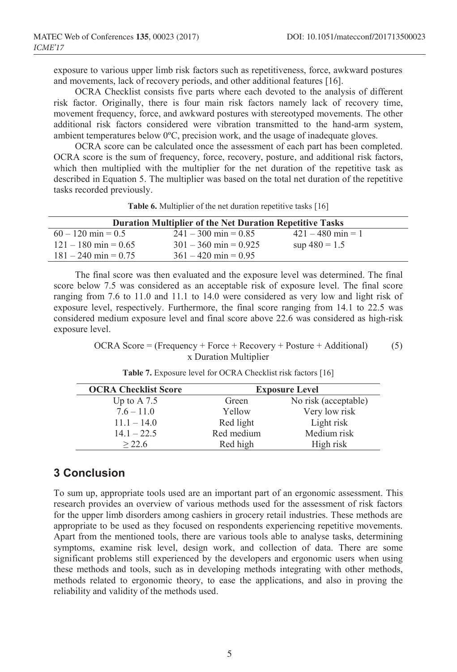exposure to various upper limb risk factors such as repetitiveness, force, awkward postures and movements, lack of recovery periods, and other additional features [16].

OCRA Checklist consists five parts where each devoted to the analysis of different risk factor. Originally, there is four main risk factors namely lack of recovery time, movement frequency, force, and awkward postures with stereotyped movements. The other additional risk factors considered were vibration transmitted to the hand-arm system, ambient temperatures below 0ºC, precision work, and the usage of inadequate gloves.

OCRA score can be calculated once the assessment of each part has been completed. OCRA score is the sum of frequency, force, recovery, posture, and additional risk factors, which then multiplied with the multiplier for the net duration of the repetitive task as described in Equation 5. The multiplier was based on the total net duration of the repetitive tasks recorded previously.

| <b>Duration Multiplier of the Net Duration Repetitive Tasks</b> |                         |                     |  |  |  |
|-----------------------------------------------------------------|-------------------------|---------------------|--|--|--|
| $60 - 120$ min = 0.5                                            | $241 - 300$ min = 0.85  | $421 - 480$ min = 1 |  |  |  |
| $121 - 180$ min = 0.65                                          | $301 - 360$ min = 0.925 | $\sup$ 480 = 1.5    |  |  |  |
| $181 - 240$ min = 0.75                                          | $361 - 420$ min = 0.95  |                     |  |  |  |

**Table 6.** Multiplier of the net duration repetitive tasks [16]

The final score was then evaluated and the exposure level was determined. The final score below 7.5 was considered as an acceptable risk of exposure level. The final score ranging from 7.6 to 11.0 and 11.1 to 14.0 were considered as very low and light risk of exposure level, respectively. Furthermore, the final score ranging from 14.1 to 22.5 was considered medium exposure level and final score above 22.6 was considered as high-risk exposure level.

#### OCRA Score = (Frequency + Force + Recovery + Posture + Additional) (5) x Duration Multiplier

| <b>OCRA Checklist Score</b> | <b>Exposure Level</b> |                      |  |
|-----------------------------|-----------------------|----------------------|--|
| Up to A $7.5$               | Green                 | No risk (acceptable) |  |
| $7.6 - 11.0$                | Yellow                | Very low risk        |  |
| $11.1 - 14.0$               | Red light             | Light risk           |  |
| $14.1 - 22.5$               | Red medium            | Medium risk          |  |
| > 22.6                      | Red high              | High risk            |  |

**Table 7.** Exposure level for OCRA Checklist risk factors [16]

## **3 Conclusion**

To sum up, appropriate tools used are an important part of an ergonomic assessment. This research provides an overview of various methods used for the assessment of risk factors for the upper limb disorders among cashiers in grocery retail industries. These methods are appropriate to be used as they focused on respondents experiencing repetitive movements. Apart from the mentioned tools, there are various tools able to analyse tasks, determining symptoms, examine risk level, design work, and collection of data. There are some significant problems still experienced by the developers and ergonomic users when using these methods and tools, such as in developing methods integrating with other methods, methods related to ergonomic theory, to ease the applications, and also in proving the reliability and validity of the methods used.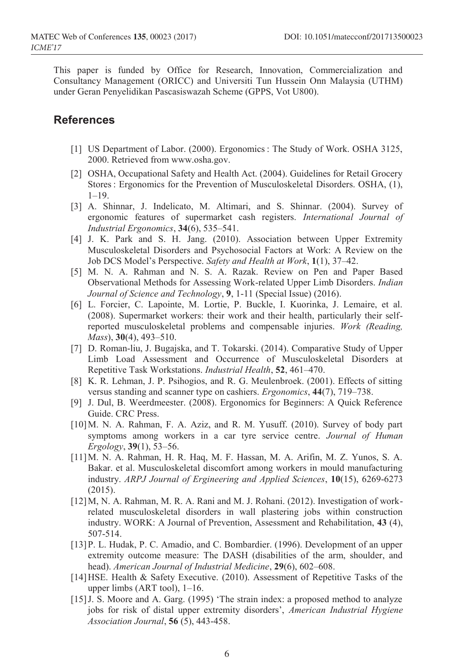This paper is funded by Office for Research, Innovation, Commercialization and Consultancy Management (ORICC) and Universiti Tun Hussein Onn Malaysia (UTHM) under Geran Penyelidikan Pascasiswazah Scheme (GPPS, Vot U800).

### **References**

- [1] US Department of Labor. (2000). Ergonomics : The Study of Work. OSHA 3125, 2000. Retrieved from www.osha.gov.
- [2] OSHA, Occupational Safety and Health Act. (2004). Guidelines for Retail Grocery Stores : Ergonomics for the Prevention of Musculoskeletal Disorders. OSHA, (1),  $1 - 19$ .
- [3] A. Shinnar, J. Indelicato, M. Altimari, and S. Shinnar. (2004). Survey of ergonomic features of supermarket cash registers. *International Journal of Industrial Ergonomics*, **34**(6), 535–541.
- [4] J. K. Park and S. H. Jang. (2010). Association between Upper Extremity Musculoskeletal Disorders and Psychosocial Factors at Work: A Review on the Job DCS Model's Perspective. *Safety and Health at Work*, **1**(1), 37–42.
- [5] M. N. A. Rahman and N. S. A. Razak. Review on Pen and Paper Based Observational Methods for Assessing Work-related Upper Limb Disorders. *Indian Journal of Science and Technology*, **9**, 1-11 (Special Issue) (2016).
- [6] L. Forcier, C. Lapointe, M. Lortie, P. Buckle, I. Kuorinka, J. Lemaire, et al. (2008). Supermarket workers: their work and their health, particularly their selfreported musculoskeletal problems and compensable injuries. *Work (Reading, Mass*), **30**(4), 493–510.
- [7] D. Roman-liu, J. Bugajska, and T. Tokarski. (2014). Comparative Study of Upper Limb Load Assessment and Occurrence of Musculoskeletal Disorders at Repetitive Task Workstations. *Industrial Health*, **52**, 461–470.
- [8] K. R. Lehman, J. P. Psihogios, and R. G. Meulenbroek. (2001). Effects of sitting versus standing and scanner type on cashiers. *Ergonomics*, **44**(7), 719–738.
- [9] J. Dul, B. Weerdmeester. (2008). Ergonomics for Beginners: A Quick Reference Guide. CRC Press.
- [10]M. N. A. Rahman, F. A. Aziz, and R. M. Yusuff. (2010). Survey of body part symptoms among workers in a car tyre service centre. *Journal of Human Ergology*, **39**(1), 53–56.
- [11]M. N. A. Rahman, H. R. Haq, M. F. Hassan, M. A. Arifin, M. Z. Yunos, S. A. Bakar. et al. Musculoskeletal discomfort among workers in mould manufacturing industry. *ARPJ Journal of Ergineering and Applied Sciences*, **10**(15), 6269-6273 (2015).
- [12]M, N. A. Rahman, M. R. A. Rani and M. J. Rohani. (2012). Investigation of workrelated musculoskeletal disorders in wall plastering jobs within construction industry. WORK: A Journal of Prevention, Assessment and Rehabilitation, **43** (4), 507-514.
- [13]P. L. Hudak, P. C. Amadio, and C. Bombardier. (1996). Development of an upper extremity outcome measure: The DASH (disabilities of the arm, shoulder, and head). *American Journal of Industrial Medicine*, **29**(6), 602–608.
- [14]HSE. Health & Safety Executive. (2010). Assessment of Repetitive Tasks of the upper limbs (ART tool), 1–16.
- [15]J. S. Moore and A. Garg. (1995) 'The strain index: a proposed method to analyze jobs for risk of distal upper extremity disorders', *American Industrial Hygiene Association Journal*, **56** (5), 443-458.